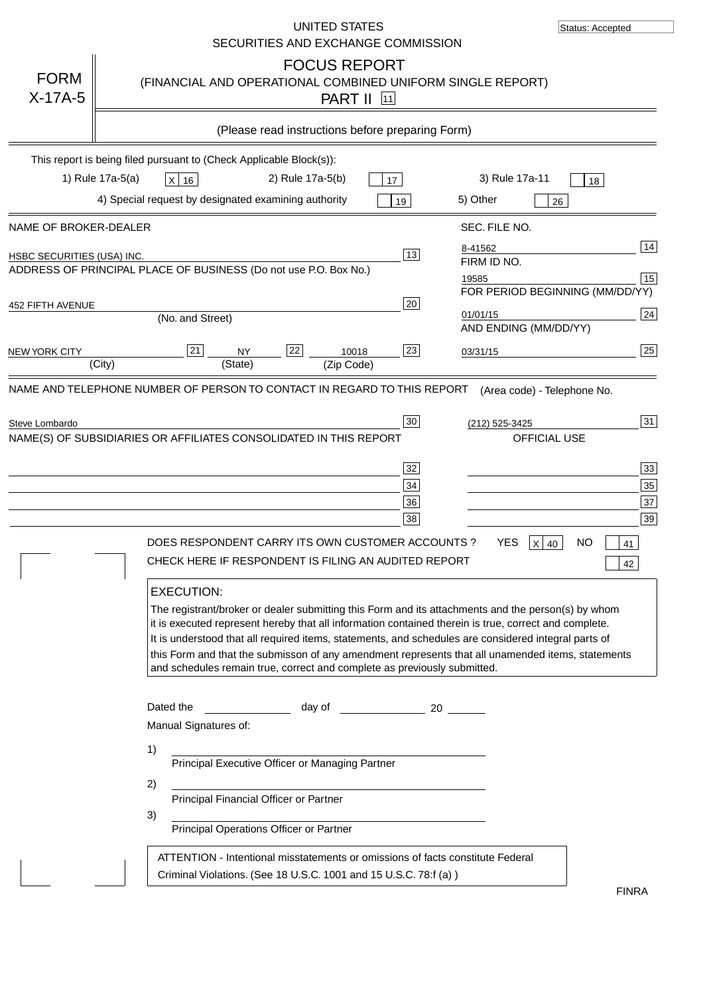|                                                     | UNITED STATES<br>SECURITIES AND EXCHANGE COMMISSION                                                                                                                                                                                                                                                                                                                                                                                                                                                                                                                                                                                                                                                                                              | Status: Accepted                                                        |
|-----------------------------------------------------|--------------------------------------------------------------------------------------------------------------------------------------------------------------------------------------------------------------------------------------------------------------------------------------------------------------------------------------------------------------------------------------------------------------------------------------------------------------------------------------------------------------------------------------------------------------------------------------------------------------------------------------------------------------------------------------------------------------------------------------------------|-------------------------------------------------------------------------|
| <b>FORM</b><br>$X-17A-5$                            | <b>FOCUS REPORT</b><br>(FINANCIAL AND OPERATIONAL COMBINED UNIFORM SINGLE REPORT)<br><b>PART II</b> 11                                                                                                                                                                                                                                                                                                                                                                                                                                                                                                                                                                                                                                           |                                                                         |
|                                                     | (Please read instructions before preparing Form)                                                                                                                                                                                                                                                                                                                                                                                                                                                                                                                                                                                                                                                                                                 |                                                                         |
|                                                     | This report is being filed pursuant to (Check Applicable Block(s)):<br>1) Rule 17a-5(a)<br>2) Rule 17a-5(b)<br>3) Rule 17a-11<br>X 16<br>17                                                                                                                                                                                                                                                                                                                                                                                                                                                                                                                                                                                                      | 18                                                                      |
|                                                     | 4) Special request by designated examining authority<br>5) Other<br>19                                                                                                                                                                                                                                                                                                                                                                                                                                                                                                                                                                                                                                                                           | 26                                                                      |
| NAME OF BROKER-DEALER<br>HSBC SECURITIES (USA) INC. | SEC. FILE NO.<br>8-41562<br>13<br>FIRM ID NO.<br>ADDRESS OF PRINCIPAL PLACE OF BUSINESS (Do not use P.O. Box No.)<br>19585                                                                                                                                                                                                                                                                                                                                                                                                                                                                                                                                                                                                                       | 14<br>15                                                                |
| 452 FIFTH AVENUE                                    | 20<br>01/01/15<br>(No. and Street)                                                                                                                                                                                                                                                                                                                                                                                                                                                                                                                                                                                                                                                                                                               | FOR PERIOD BEGINNING (MM/DD/YY)<br>24<br>AND ENDING (MM/DD/YY)          |
| <b>NEW YORK CITY</b>                                | 22<br>21<br>23<br>10018<br><b>NY</b><br>03/31/15<br>(State)<br>(City)<br>(Zip Code)                                                                                                                                                                                                                                                                                                                                                                                                                                                                                                                                                                                                                                                              | 25                                                                      |
|                                                     | NAME(S) OF SUBSIDIARIES OR AFFILIATES CONSOLIDATED IN THIS REPORT<br>32<br>34<br>36<br>38<br>DOES RESPONDENT CARRY ITS OWN CUSTOMER ACCOUNTS?<br><b>YES</b><br>CHECK HERE IF RESPONDENT IS FILING AN AUDITED REPORT<br><b>EXECUTION:</b><br>The registrant/broker or dealer submitting this Form and its attachments and the person(s) by whom<br>it is executed represent hereby that all information contained therein is true, correct and complete.<br>It is understood that all required items, statements, and schedules are considered integral parts of<br>this Form and that the submisson of any amendment represents that all unamended items, statements<br>and schedules remain true, correct and complete as previously submitted. | <b>OFFICIAL USE</b><br>33<br>35<br>37<br>39<br>NO<br>$X$ 40<br>41<br>42 |
|                                                     | Dated the<br><b>Example 2</b> day of<br>20<br>Manual Signatures of:<br>1)<br>Principal Executive Officer or Managing Partner<br>2)<br>Principal Financial Officer or Partner<br>3)<br>Principal Operations Officer or Partner                                                                                                                                                                                                                                                                                                                                                                                                                                                                                                                    |                                                                         |
|                                                     | ATTENTION - Intentional misstatements or omissions of facts constitute Federal<br>Criminal Violations. (See 18 U.S.C. 1001 and 15 U.S.C. 78:f (a))                                                                                                                                                                                                                                                                                                                                                                                                                                                                                                                                                                                               | <b>FINRA</b>                                                            |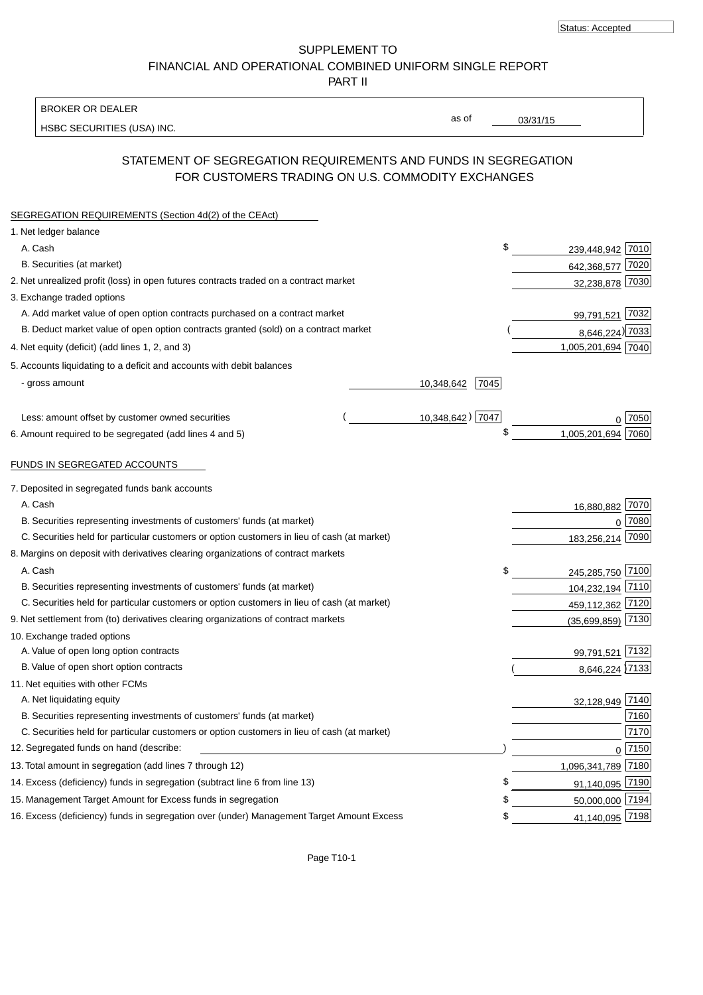Status: Accepted

SUPPLEMENT TO FINANCIAL AND OPERATIONAL COMBINED UNIFORM SINGLE REPORT PART II

#### BROKER OR DEALER

HSBC SECURITIES (USA) INC.

03/31/15

as of

# STATEMENT OF SEGREGATION REQUIREMENTS AND FUNDS IN SEGREGATION FOR CUSTOMERS TRADING ON U.S. COMMODITY EXCHANGES

| SEGREGATION REQUIREMENTS (Section 4d(2) of the CEAct)                                       |                    |                      |  |
|---------------------------------------------------------------------------------------------|--------------------|----------------------|--|
| 1. Net ledger balance                                                                       |                    |                      |  |
| A. Cash                                                                                     | \$                 | 239,448,942 7010     |  |
| B. Securities (at market)                                                                   |                    | 642,368,577 7020     |  |
| 2. Net unrealized profit (loss) in open futures contracts traded on a contract market       |                    | 32,238,878 7030      |  |
| 3. Exchange traded options                                                                  |                    |                      |  |
| A. Add market value of open option contracts purchased on a contract market                 |                    | 99,791,521 7032      |  |
| B. Deduct market value of open option contracts granted (sold) on a contract market         |                    | 8,646,224) 7033      |  |
| 4. Net equity (deficit) (add lines 1, 2, and 3)                                             |                    | 1,005,201,694 7040   |  |
| 5. Accounts liquidating to a deficit and accounts with debit balances                       |                    |                      |  |
| - gross amount                                                                              | 7045<br>10,348,642 |                      |  |
|                                                                                             |                    |                      |  |
| Less: amount offset by customer owned securities                                            | 10,348,642) 7047   | 7050                 |  |
| 6. Amount required to be segregated (add lines 4 and 5)                                     | \$                 | 1,005,201,694 7060   |  |
| <u>FUNDS IN SEGREGATED ACCOUNTS</u>                                                         |                    |                      |  |
| 7. Deposited in segregated funds bank accounts                                              |                    |                      |  |
| A. Cash                                                                                     |                    | 16,880,882 7070      |  |
| B. Securities representing investments of customers' funds (at market)                      |                    | 7080<br>0            |  |
| C. Securities held for particular customers or option customers in lieu of cash (at market) |                    | 7090<br>183,256,214  |  |
| 8. Margins on deposit with derivatives clearing organizations of contract markets           |                    |                      |  |
| A. Cash                                                                                     | \$                 | 245,285,750 7100     |  |
| B. Securities representing investments of customers' funds (at market)                      |                    | 104,232,194 7110     |  |
| C. Securities held for particular customers or option customers in lieu of cash (at market) |                    | 459,112,362 7120     |  |
| 9. Net settlement from (to) derivatives clearing organizations of contract markets          |                    | 7130<br>(35,699,859) |  |
| 10. Exchange traded options                                                                 |                    |                      |  |
| A. Value of open long option contracts                                                      |                    | 99,791,521 7132      |  |
| B. Value of open short option contracts                                                     |                    | 8,646,224 7133       |  |
| 11. Net equities with other FCMs                                                            |                    |                      |  |
| A. Net liquidating equity                                                                   |                    | 7140<br>32,128,949   |  |
| B. Securities representing investments of customers' funds (at market)                      |                    | 7160                 |  |
| C. Securities held for particular customers or option customers in lieu of cash (at market) |                    | 7170                 |  |
| 12. Segregated funds on hand (describe:                                                     |                    | $0$ 7150             |  |
| 13. Total amount in segregation (add lines 7 through 12)                                    |                    | 1,096,341,789 7180   |  |
| 14. Excess (deficiency) funds in segregation (subtract line 6 from line 13)                 | \$                 | 91,140,095 7190      |  |
| 15. Management Target Amount for Excess funds in segregation                                | \$                 | 50,000,000 7194      |  |
| 16. Excess (deficiency) funds in segregation over (under) Management Target Amount Excess   | \$                 | 41,140,095 7198      |  |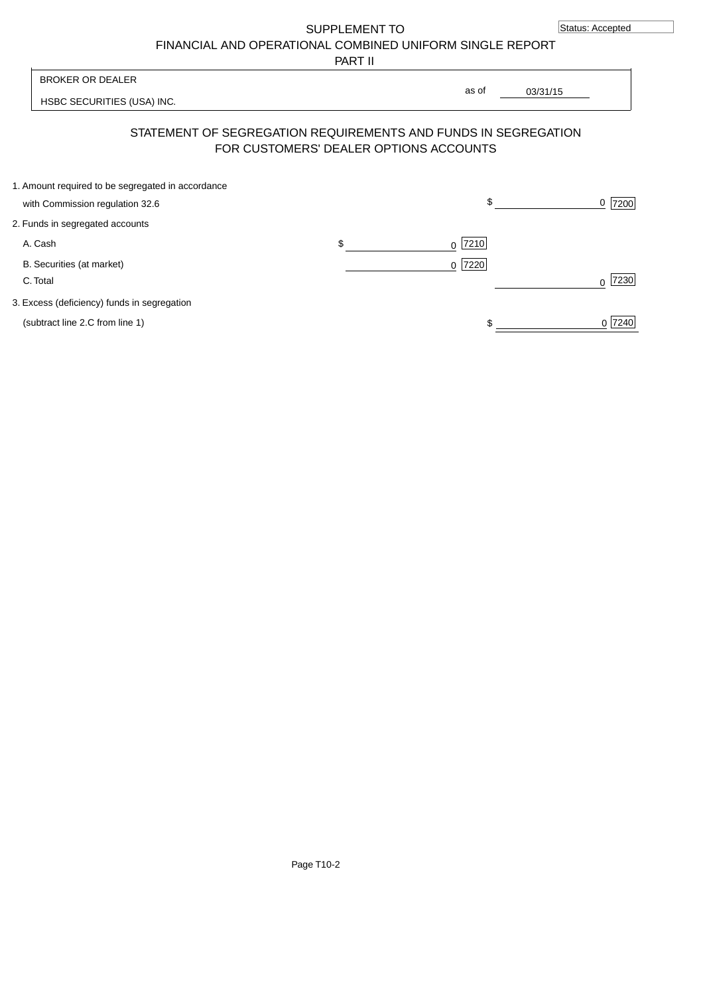SUPPLEMENT TO

FINANCIAL AND OPERATIONAL COMBINED UNIFORM SINGLE REPORT

PART II

| BROKER OR DEALER<br>as of                                      |  |
|----------------------------------------------------------------|--|
| 03/31/15<br>HSBC SECURITIES (USA) INC.                         |  |
|                                                                |  |
| STATEMENT OF SEGREGATION REQUIREMENTS AND FUNDS IN SEGREGATION |  |
| FOR CUSTOMERS' DEALER OPTIONS ACCOUNTS                         |  |

| 1. Amount required to be segregated in accordance |           |        |
|---------------------------------------------------|-----------|--------|
| with Commission regulation 32.6                   | \$        | 7200   |
| 2. Funds in segregated accounts                   |           |        |
| A. Cash                                           | $0$  7210 |        |
| B. Securities (at market)                         | $0$ 7220  |        |
| C. Total                                          |           | 7230   |
| 3. Excess (deficiency) funds in segregation       |           |        |
| (subtract line 2.C from line 1)                   |           | 0 7240 |
|                                                   |           |        |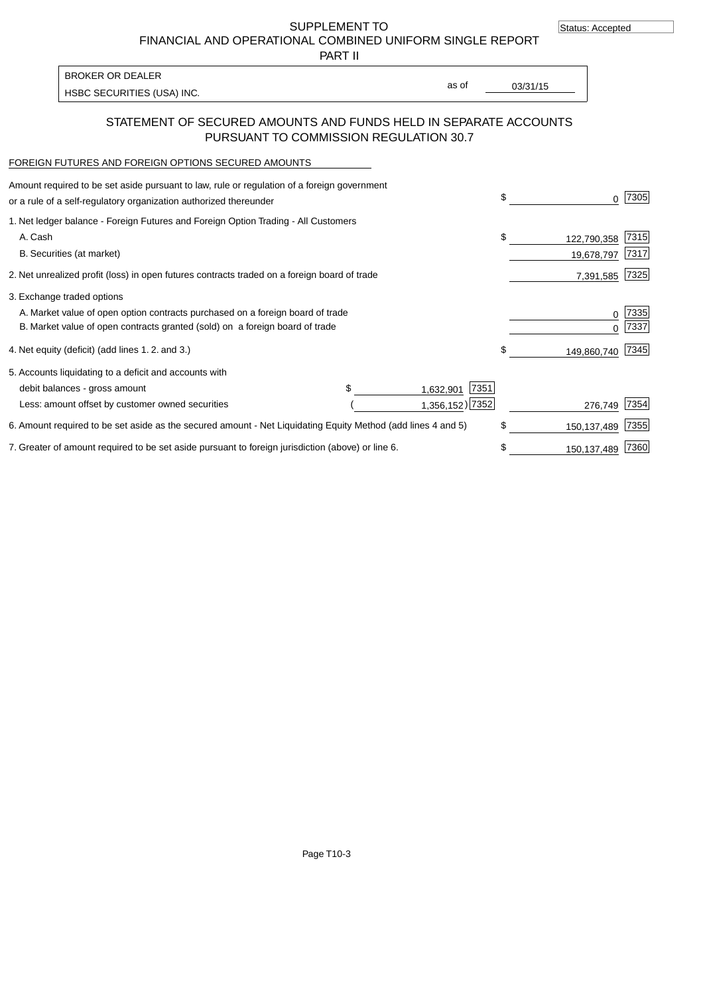Status: Accepted

SUPPLEMENT TO FINANCIAL AND OPERATIONAL COMBINED UNIFORM SINGLE REPORT

PART II

| BROKER OR DEALER           |       |          |
|----------------------------|-------|----------|
|                            | as of | 03/31/15 |
| HSBC SECURITIES (USA) INC. |       |          |

### STATEMENT OF SECURED AMOUNTS AND FUNDS HELD IN SEPARATE ACCOUNTS PURSUANT TO COMMISSION REGULATION 30.7

#### FOREIGN FUTURES AND FOREIGN OPTIONS SECURED AMOUNTS

| \$<br>0           | 7305 |
|-------------------|------|
|                   |      |
| \$<br>122,790,358 | 7315 |
| 19,678,797        | 7317 |
| 7,391,585         | 7325 |
|                   |      |
| 0                 | 7335 |
| <sup>0</sup>      | 7337 |
| \$<br>149,860,740 | 7345 |
|                   |      |
|                   |      |
| 276,749           | 7354 |
| \$<br>150,137,489 | 7355 |
| \$<br>150,137,489 | 7360 |
| 1,356,152) 7352   |      |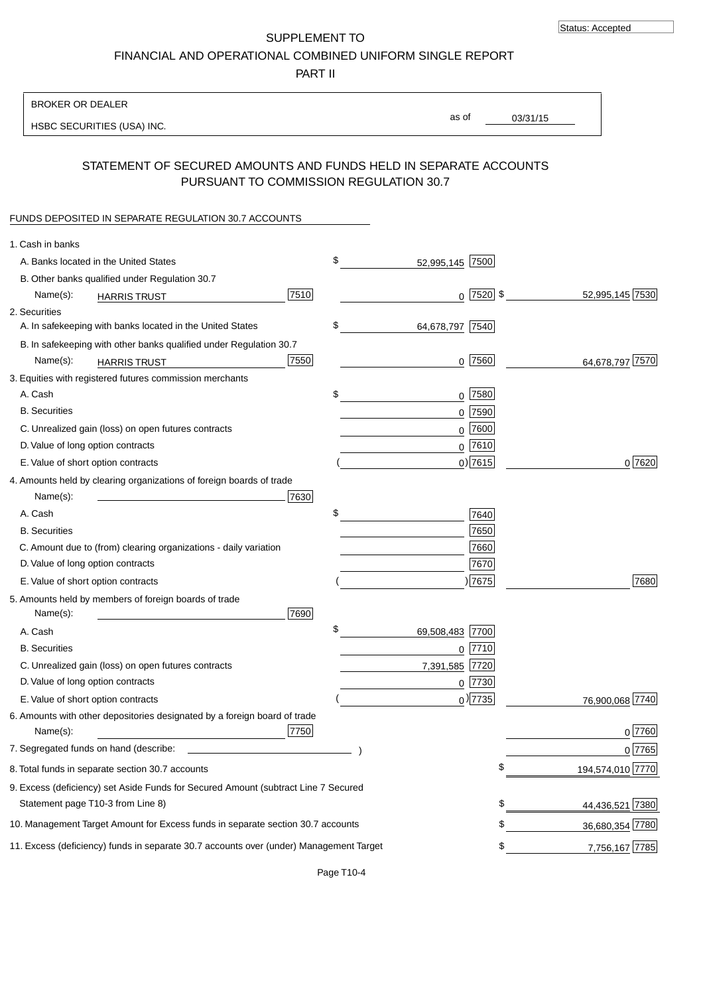SUPPLEMENT TO FINANCIAL AND OPERATIONAL COMBINED UNIFORM SINGLE REPORT

PART II

### BROKER OR DEALER

HSBC SECURITIES (USA) INC.

03/31/15 as of

## STATEMENT OF SECURED AMOUNTS AND FUNDS HELD IN SEPARATE ACCOUNTS PURSUANT TO COMMISSION REGULATION 30.7

#### FUNDS DEPOSITED IN SEPARATE REGULATION 30.7 ACCOUNTS

| 1. Cash in banks                  |                                                                                        |      |                       |    |                  |
|-----------------------------------|----------------------------------------------------------------------------------------|------|-----------------------|----|------------------|
|                                   | A. Banks located in the United States                                                  |      | \$<br>52,995,145 7500 |    |                  |
|                                   | B. Other banks qualified under Regulation 30.7                                         |      |                       |    |                  |
| Name(s):                          | <b>HARRIS TRUST</b>                                                                    | 7510 | $0$ 7520 \$           |    | 52,995,145 7530  |
| 2. Securities                     |                                                                                        |      |                       |    |                  |
|                                   | A. In safekeeping with banks located in the United States                              |      | \$<br>64,678,797 7540 |    |                  |
|                                   | B. In safekeeping with other banks qualified under Regulation 30.7                     |      |                       |    |                  |
| Name(s):                          | <b>HARRIS TRUST</b>                                                                    | 7550 | $0$  7560             |    | 64,678,797 7570  |
|                                   | 3. Equities with registered futures commission merchants                               |      |                       |    |                  |
| A. Cash                           |                                                                                        |      | \$<br>$0$ 7580        |    |                  |
| <b>B.</b> Securities              |                                                                                        |      | $0$ 7590              |    |                  |
|                                   | C. Unrealized gain (loss) on open futures contracts                                    |      | $0$ 7600              |    |                  |
| D. Value of long option contracts |                                                                                        |      | $0$ 7610              |    |                  |
|                                   | E. Value of short option contracts                                                     |      | $0$ ) 7615            |    | 0 7620           |
|                                   | 4. Amounts held by clearing organizations of foreign boards of trade                   |      |                       |    |                  |
| Name(s):                          |                                                                                        | 7630 |                       |    |                  |
| A. Cash                           |                                                                                        |      | \$<br>7640            |    |                  |
| <b>B.</b> Securities              |                                                                                        |      | 7650                  |    |                  |
|                                   | C. Amount due to (from) clearing organizations - daily variation                       |      | 7660                  |    |                  |
| D. Value of long option contracts |                                                                                        |      | 7670                  |    |                  |
|                                   | E. Value of short option contracts                                                     |      | 7675                  |    | 7680             |
| Name(s):                          | 5. Amounts held by members of foreign boards of trade                                  | 7690 |                       |    |                  |
| A. Cash                           |                                                                                        |      | \$<br>69,508,483 7700 |    |                  |
| <b>B.</b> Securities              |                                                                                        |      | $0$ 7710              |    |                  |
|                                   | C. Unrealized gain (loss) on open futures contracts                                    |      | 7,391,585 7720        |    |                  |
| D. Value of long option contracts |                                                                                        |      | 0 7730                |    |                  |
|                                   | E. Value of short option contracts                                                     |      | $_0$ ) 7735           |    | 76,900,068 7740  |
| Name(s):                          | 6. Amounts with other depositories designated by a foreign board of trade              | 7750 |                       |    | 0 7760           |
|                                   |                                                                                        |      |                       |    | 0 7765           |
|                                   | 8. Total funds in separate section 30.7 accounts                                       |      |                       | ¢  | 194,574,010 7770 |
|                                   | 9. Excess (deficiency) set Aside Funds for Secured Amount (subtract Line 7 Secured     |      |                       |    |                  |
|                                   | Statement page T10-3 from Line 8)                                                      |      |                       | \$ | 44,436,521 7380  |
|                                   | 10. Management Target Amount for Excess funds in separate section 30.7 accounts        |      |                       | \$ | 36,680,354 7780  |
|                                   | 11. Excess (deficiency) funds in separate 30.7 accounts over (under) Management Target |      |                       | \$ | 7,756,167 7785   |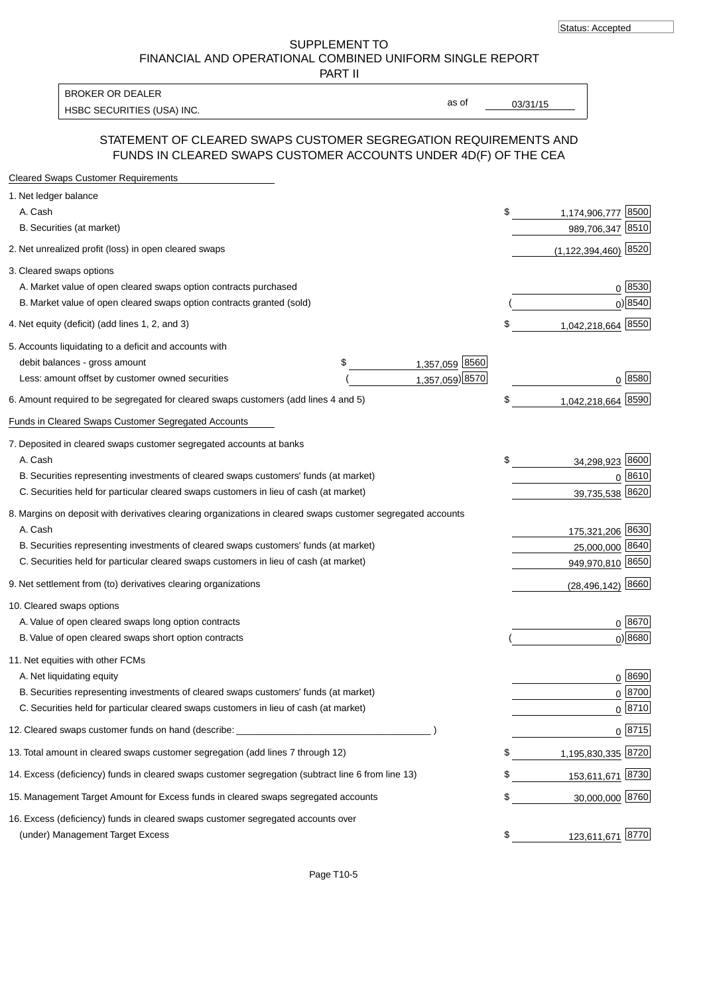SUPPLEMENT TO FINANCIAL AND OPERATIONAL COMBINED UNIFORM SINGLE REPORT

PART II

BROKER OR DEALER

HSBC SECURITIES (USA) INC. The state of the set of the set of the set of the set of the set of the set of the set of the set of the set of the set of the set of the set of the set of the set of the set of the set of the se

as of

### STATEMENT OF CLEARED SWAPS CUSTOMER SEGREGATION REQUIREMENTS AND FUNDS IN CLEARED SWAPS CUSTOMER ACCOUNTS UNDER 4D(F) OF THE CEA

| <b>Cleared Swaps Customer Requirements</b>                                                                  |                      |    |                            |
|-------------------------------------------------------------------------------------------------------------|----------------------|----|----------------------------|
| 1. Net ledger balance                                                                                       |                      |    |                            |
| A. Cash                                                                                                     |                      | \$ | 8500<br>1,174,906,777      |
| B. Securities (at market)                                                                                   |                      |    | 8510<br>989,706,347        |
| 2. Net unrealized profit (loss) in open cleared swaps                                                       |                      |    | 8520<br>(1, 122, 394, 460) |
| 3. Cleared swaps options                                                                                    |                      |    |                            |
| A. Market value of open cleared swaps option contracts purchased                                            |                      |    | $0^{8530}$                 |
| B. Market value of open cleared swaps option contracts granted (sold)                                       |                      |    | $0)$ 8540                  |
| 4. Net equity (deficit) (add lines 1, 2, and 3)                                                             |                      | \$ | 1,042,218,664 8550         |
| 5. Accounts liquidating to a deficit and accounts with                                                      |                      |    |                            |
| debit balances - gross amount                                                                               | 1,357,059 8560<br>\$ |    |                            |
| Less: amount offset by customer owned securities                                                            | 1,357,059) 8570      |    | 0 8580                     |
| 6. Amount required to be segregated for cleared swaps customers (add lines 4 and 5)                         |                      | S  | 1,042,218,664 8590         |
| Funds in Cleared Swaps Customer Segregated Accounts                                                         |                      |    |                            |
| 7. Deposited in cleared swaps customer segregated accounts at banks                                         |                      |    |                            |
| A. Cash                                                                                                     |                      | \$ | 8600<br>34,298,923         |
| B. Securities representing investments of cleared swaps customers' funds (at market)                        |                      |    | 0 8610                     |
| C. Securities held for particular cleared swaps customers in lieu of cash (at market)                       |                      |    | 8620<br>39,735,538         |
| 8. Margins on deposit with derivatives clearing organizations in cleared swaps customer segregated accounts |                      |    |                            |
| A. Cash                                                                                                     |                      |    | 175,321,206 8630           |
| B. Securities representing investments of cleared swaps customers' funds (at market)                        |                      |    | 25,000,000<br>8640         |
| C. Securities held for particular cleared swaps customers in lieu of cash (at market)                       |                      |    | 949,970,810 8650           |
| 9. Net settlement from (to) derivatives clearing organizations                                              |                      |    | 8660<br>(28, 496, 142)     |
| 10. Cleared swaps options                                                                                   |                      |    |                            |
| A. Value of open cleared swaps long option contracts                                                        |                      |    | $0^{8670}$                 |
| B. Value of open cleared swaps short option contracts                                                       |                      |    | $0$ ) 8680                 |
| 11. Net equities with other FCMs                                                                            |                      |    |                            |
| A. Net liquidating equity                                                                                   |                      |    | $0^{8690}$                 |
| B. Securities representing investments of cleared swaps customers' funds (at market)                        |                      |    | $0^{8700}$                 |
| C. Securities held for particular cleared swaps customers in lieu of cash (at market)                       |                      |    | 0 8710                     |
| 12. Cleared swaps customer funds on hand (describe: _                                                       |                      |    | $0 \;  8715 $              |
| 13. Total amount in cleared swaps customer segregation (add lines 7 through 12)                             |                      | S  | 1,195,830,335 8720         |
| 14. Excess (deficiency) funds in cleared swaps customer segregation (subtract line 6 from line 13)          |                      |    | 153,611,671 8730           |
| 15. Management Target Amount for Excess funds in cleared swaps segregated accounts                          |                      | \$ | 30,000,000 8760            |
| 16. Excess (deficiency) funds in cleared swaps customer segregated accounts over                            |                      |    |                            |
| (under) Management Target Excess                                                                            |                      | \$ | 123,611,671 8770           |